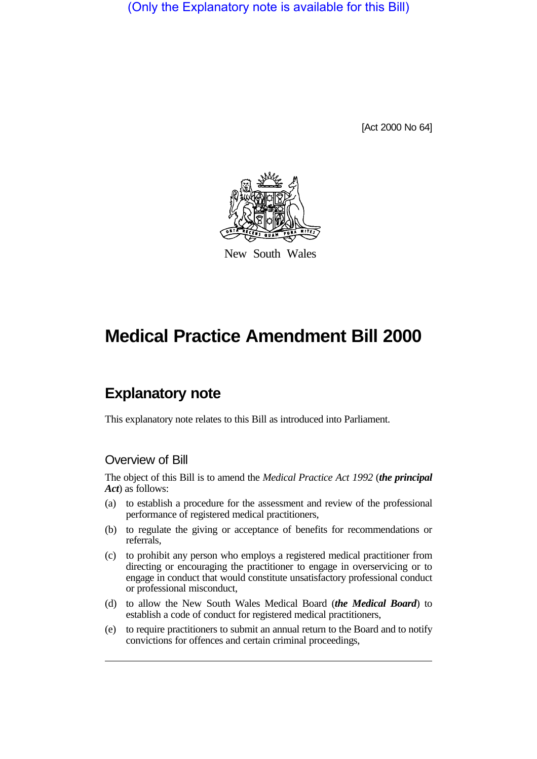(Only the Explanatory note is available for this Bill)

[Act 2000 No 64]



New South Wales

# **Medical Practice Amendment Bill 2000**

# **Explanatory note**

This explanatory note relates to this Bill as introduced into Parliament.

### Overview of Bill

The object of this Bill is to amend the *Medical Practice Act 1992* (*the principal Act*) as follows:

- (a) to establish a procedure for the assessment and review of the professional performance of registered medical practitioners,
- (b) to regulate the giving or acceptance of benefits for recommendations or referrals,
- (c) to prohibit any person who employs a registered medical practitioner from directing or encouraging the practitioner to engage in overservicing or to engage in conduct that would constitute unsatisfactory professional conduct or professional misconduct,
- (d) to allow the New South Wales Medical Board (*the Medical Board*) to establish a code of conduct for registered medical practitioners,
- (e) to require practitioners to submit an annual return to the Board and to notify convictions for offences and certain criminal proceedings,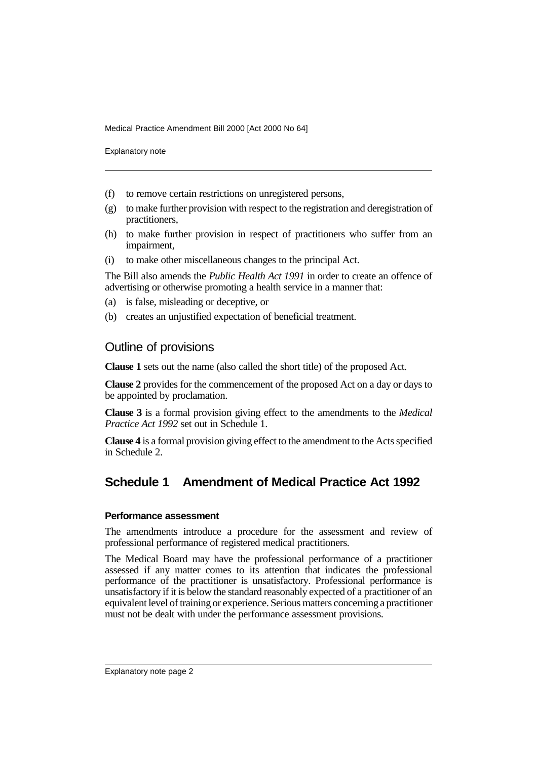Explanatory note

- (f) to remove certain restrictions on unregistered persons,
- (g) to make further provision with respect to the registration and deregistration of practitioners,
- (h) to make further provision in respect of practitioners who suffer from an impairment,
- (i) to make other miscellaneous changes to the principal Act.

The Bill also amends the *Public Health Act 1991* in order to create an offence of advertising or otherwise promoting a health service in a manner that:

- (a) is false, misleading or deceptive, or
- (b) creates an unjustified expectation of beneficial treatment.

### Outline of provisions

**Clause 1** sets out the name (also called the short title) of the proposed Act.

**Clause 2** provides for the commencement of the proposed Act on a day or days to be appointed by proclamation.

**Clause 3** is a formal provision giving effect to the amendments to the *Medical Practice Act 1992* set out in Schedule 1.

**Clause 4** is a formal provision giving effect to the amendment to the Acts specified in Schedule 2.

## **Schedule 1 Amendment of Medical Practice Act 1992**

#### **Performance assessment**

The amendments introduce a procedure for the assessment and review of professional performance of registered medical practitioners.

The Medical Board may have the professional performance of a practitioner assessed if any matter comes to its attention that indicates the professional performance of the practitioner is unsatisfactory. Professional performance is unsatisfactory if it is below the standard reasonably expected of a practitioner of an equivalent level of training or experience. Serious matters concerning a practitioner must not be dealt with under the performance assessment provisions.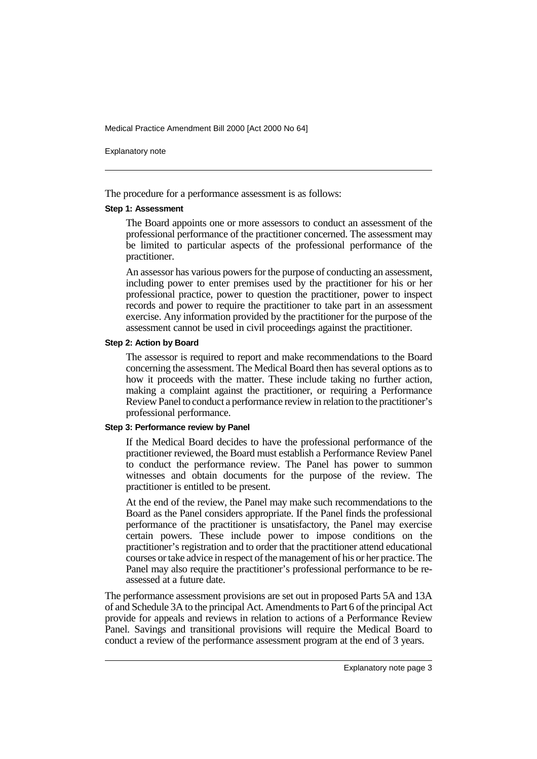Explanatory note

The procedure for a performance assessment is as follows:

#### **Step 1: Assessment**

The Board appoints one or more assessors to conduct an assessment of the professional performance of the practitioner concerned. The assessment may be limited to particular aspects of the professional performance of the practitioner.

An assessor has various powers for the purpose of conducting an assessment, including power to enter premises used by the practitioner for his or her professional practice, power to question the practitioner, power to inspect records and power to require the practitioner to take part in an assessment exercise. Any information provided by the practitioner for the purpose of the assessment cannot be used in civil proceedings against the practitioner.

#### **Step 2: Action by Board**

The assessor is required to report and make recommendations to the Board concerning the assessment. The Medical Board then has several options as to how it proceeds with the matter. These include taking no further action, making a complaint against the practitioner, or requiring a Performance Review Panel to conduct a performance review in relation to the practitioner's professional performance.

#### **Step 3: Performance review by Panel**

If the Medical Board decides to have the professional performance of the practitioner reviewed, the Board must establish a Performance Review Panel to conduct the performance review. The Panel has power to summon witnesses and obtain documents for the purpose of the review. The practitioner is entitled to be present.

At the end of the review, the Panel may make such recommendations to the Board as the Panel considers appropriate. If the Panel finds the professional performance of the practitioner is unsatisfactory, the Panel may exercise certain powers. These include power to impose conditions on the practitioner's registration and to order that the practitioner attend educational courses or take advice in respect of the management of his or her practice. The Panel may also require the practitioner's professional performance to be reassessed at a future date.

The performance assessment provisions are set out in proposed Parts 5A and 13A of and Schedule 3A to the principal Act. Amendments to Part 6 of the principal Act provide for appeals and reviews in relation to actions of a Performance Review Panel. Savings and transitional provisions will require the Medical Board to conduct a review of the performance assessment program at the end of 3 years.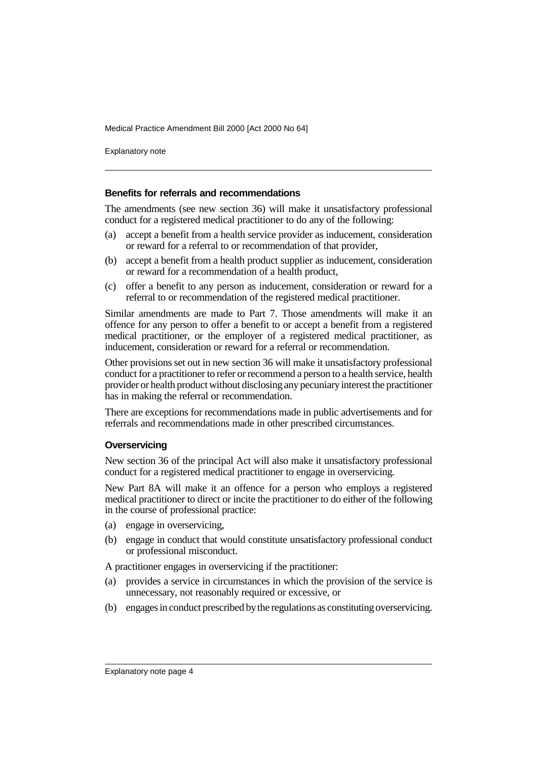Explanatory note

#### **Benefits for referrals and recommendations**

The amendments (see new section 36) will make it unsatisfactory professional conduct for a registered medical practitioner to do any of the following:

- (a) accept a benefit from a health service provider as inducement, consideration or reward for a referral to or recommendation of that provider,
- (b) accept a benefit from a health product supplier as inducement, consideration or reward for a recommendation of a health product,
- (c) offer a benefit to any person as inducement, consideration or reward for a referral to or recommendation of the registered medical practitioner.

Similar amendments are made to Part 7. Those amendments will make it an offence for any person to offer a benefit to or accept a benefit from a registered medical practitioner, or the employer of a registered medical practitioner, as inducement, consideration or reward for a referral or recommendation.

Other provisions set out in new section 36 will make it unsatisfactory professional conduct for a practitioner to refer or recommend a person to a health service, health provider or health product without disclosing any pecuniary interest the practitioner has in making the referral or recommendation.

There are exceptions for recommendations made in public advertisements and for referrals and recommendations made in other prescribed circumstances.

#### **Overservicing**

New section 36 of the principal Act will also make it unsatisfactory professional conduct for a registered medical practitioner to engage in overservicing.

New Part 8A will make it an offence for a person who employs a registered medical practitioner to direct or incite the practitioner to do either of the following in the course of professional practice:

- (a) engage in overservicing,
- (b) engage in conduct that would constitute unsatisfactory professional conduct or professional misconduct.

A practitioner engages in overservicing if the practitioner:

- (a) provides a service in circumstances in which the provision of the service is unnecessary, not reasonably required or excessive, or
- (b) engages in conduct prescribed by the regulations as constituting overservicing.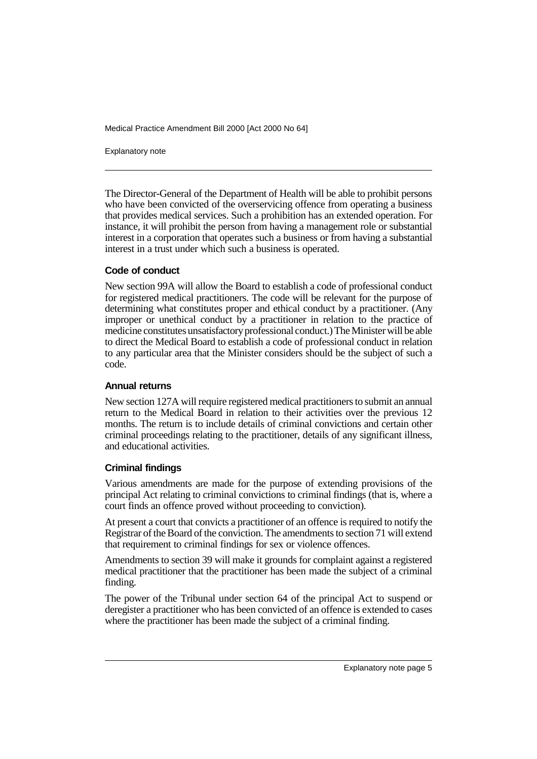Explanatory note

The Director-General of the Department of Health will be able to prohibit persons who have been convicted of the overservicing offence from operating a business that provides medical services. Such a prohibition has an extended operation. For instance, it will prohibit the person from having a management role or substantial interest in a corporation that operates such a business or from having a substantial interest in a trust under which such a business is operated.

#### **Code of conduct**

New section 99A will allow the Board to establish a code of professional conduct for registered medical practitioners. The code will be relevant for the purpose of determining what constitutes proper and ethical conduct by a practitioner. (Any improper or unethical conduct by a practitioner in relation to the practice of medicine constitutes unsatisfactory professional conduct.) The Minister will be able to direct the Medical Board to establish a code of professional conduct in relation to any particular area that the Minister considers should be the subject of such a code.

#### **Annual returns**

New section 127A will require registered medical practitioners to submit an annual return to the Medical Board in relation to their activities over the previous 12 months. The return is to include details of criminal convictions and certain other criminal proceedings relating to the practitioner, details of any significant illness, and educational activities.

#### **Criminal findings**

Various amendments are made for the purpose of extending provisions of the principal Act relating to criminal convictions to criminal findings (that is, where a court finds an offence proved without proceeding to conviction).

At present a court that convicts a practitioner of an offence is required to notify the Registrar of the Board of the conviction. The amendments to section 71 will extend that requirement to criminal findings for sex or violence offences.

Amendments to section 39 will make it grounds for complaint against a registered medical practitioner that the practitioner has been made the subject of a criminal finding.

The power of the Tribunal under section 64 of the principal Act to suspend or deregister a practitioner who has been convicted of an offence is extended to cases where the practitioner has been made the subject of a criminal finding.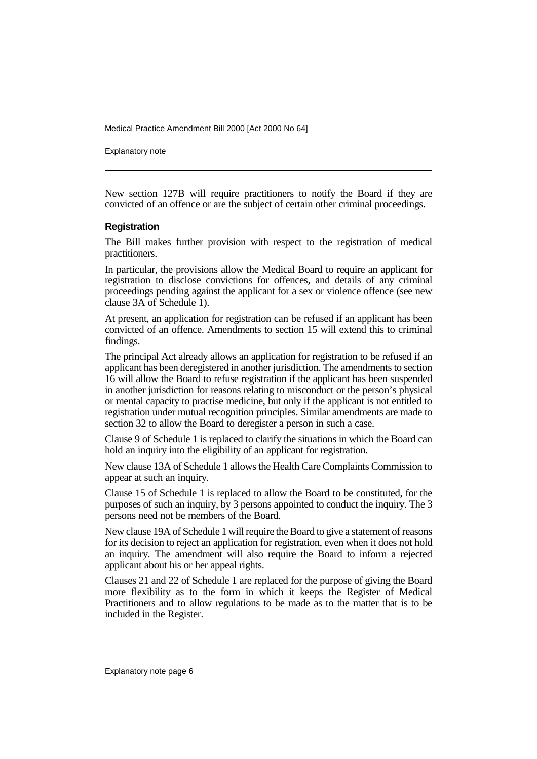Explanatory note

New section 127B will require practitioners to notify the Board if they are convicted of an offence or are the subject of certain other criminal proceedings.

#### **Registration**

The Bill makes further provision with respect to the registration of medical practitioners.

In particular, the provisions allow the Medical Board to require an applicant for registration to disclose convictions for offences, and details of any criminal proceedings pending against the applicant for a sex or violence offence (see new clause 3A of Schedule 1).

At present, an application for registration can be refused if an applicant has been convicted of an offence. Amendments to section 15 will extend this to criminal findings.

The principal Act already allows an application for registration to be refused if an applicant has been deregistered in another jurisdiction. The amendments to section 16 will allow the Board to refuse registration if the applicant has been suspended in another jurisdiction for reasons relating to misconduct or the person's physical or mental capacity to practise medicine, but only if the applicant is not entitled to registration under mutual recognition principles. Similar amendments are made to section 32 to allow the Board to deregister a person in such a case.

Clause 9 of Schedule 1 is replaced to clarify the situations in which the Board can hold an inquiry into the eligibility of an applicant for registration.

New clause 13A of Schedule 1 allows the Health Care Complaints Commission to appear at such an inquiry.

Clause 15 of Schedule 1 is replaced to allow the Board to be constituted, for the purposes of such an inquiry, by 3 persons appointed to conduct the inquiry. The 3 persons need not be members of the Board.

New clause 19A of Schedule 1 will require the Board to give a statement of reasons for its decision to reject an application for registration, even when it does not hold an inquiry. The amendment will also require the Board to inform a rejected applicant about his or her appeal rights.

Clauses 21 and 22 of Schedule 1 are replaced for the purpose of giving the Board more flexibility as to the form in which it keeps the Register of Medical Practitioners and to allow regulations to be made as to the matter that is to be included in the Register.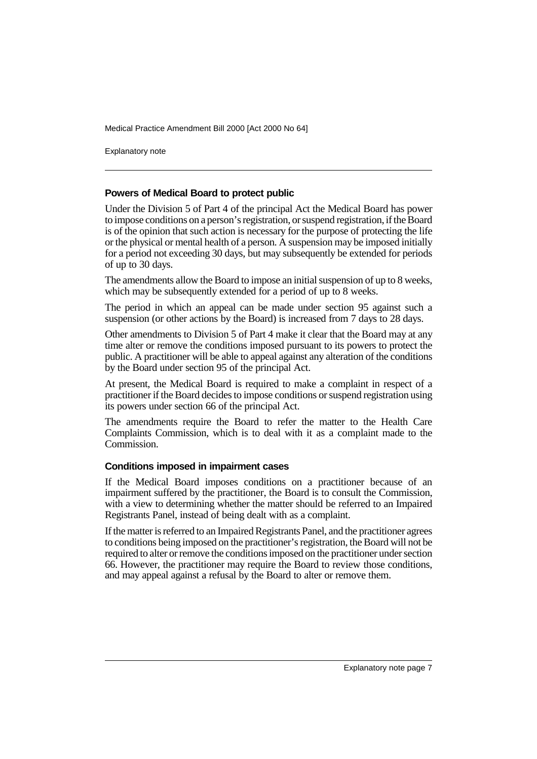Explanatory note

#### **Powers of Medical Board to protect public**

Under the Division 5 of Part 4 of the principal Act the Medical Board has power to impose conditions on a person's registration, or suspend registration, if the Board is of the opinion that such action is necessary for the purpose of protecting the life or the physical or mental health of a person. A suspension may be imposed initially for a period not exceeding 30 days, but may subsequently be extended for periods of up to 30 days.

The amendments allow the Board to impose an initial suspension of up to 8 weeks, which may be subsequently extended for a period of up to 8 weeks.

The period in which an appeal can be made under section 95 against such a suspension (or other actions by the Board) is increased from 7 days to 28 days.

Other amendments to Division 5 of Part 4 make it clear that the Board may at any time alter or remove the conditions imposed pursuant to its powers to protect the public. A practitioner will be able to appeal against any alteration of the conditions by the Board under section 95 of the principal Act.

At present, the Medical Board is required to make a complaint in respect of a practitioner if the Board decides to impose conditions or suspend registration using its powers under section 66 of the principal Act.

The amendments require the Board to refer the matter to the Health Care Complaints Commission, which is to deal with it as a complaint made to the Commission.

#### **Conditions imposed in impairment cases**

If the Medical Board imposes conditions on a practitioner because of an impairment suffered by the practitioner, the Board is to consult the Commission, with a view to determining whether the matter should be referred to an Impaired Registrants Panel, instead of being dealt with as a complaint.

If the matter is referred to an Impaired Registrants Panel, and the practitioner agrees to conditions being imposed on the practitioner's registration, the Board will not be required to alter or remove the conditions imposed on the practitioner under section 66. However, the practitioner may require the Board to review those conditions, and may appeal against a refusal by the Board to alter or remove them.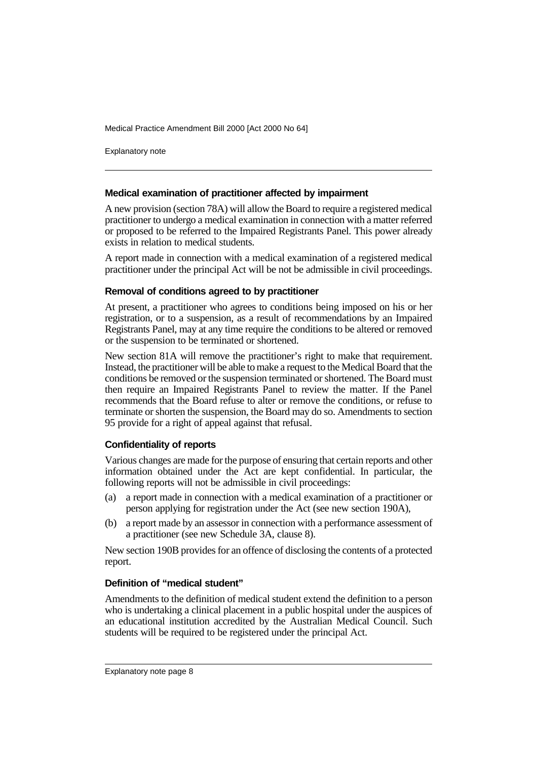Explanatory note

#### **Medical examination of practitioner affected by impairment**

A new provision (section 78A) will allow the Board to require a registered medical practitioner to undergo a medical examination in connection with a matter referred or proposed to be referred to the Impaired Registrants Panel. This power already exists in relation to medical students.

A report made in connection with a medical examination of a registered medical practitioner under the principal Act will be not be admissible in civil proceedings.

#### **Removal of conditions agreed to by practitioner**

At present, a practitioner who agrees to conditions being imposed on his or her registration, or to a suspension, as a result of recommendations by an Impaired Registrants Panel, may at any time require the conditions to be altered or removed or the suspension to be terminated or shortened.

New section 81A will remove the practitioner's right to make that requirement. Instead, the practitioner will be able to make a request to the Medical Board that the conditions be removed or the suspension terminated or shortened. The Board must then require an Impaired Registrants Panel to review the matter. If the Panel recommends that the Board refuse to alter or remove the conditions, or refuse to terminate or shorten the suspension, the Board may do so. Amendments to section 95 provide for a right of appeal against that refusal.

#### **Confidentiality of reports**

Various changes are made for the purpose of ensuring that certain reports and other information obtained under the Act are kept confidential. In particular, the following reports will not be admissible in civil proceedings:

- (a) a report made in connection with a medical examination of a practitioner or person applying for registration under the Act (see new section 190A),
- (b) a report made by an assessor in connection with a performance assessment of a practitioner (see new Schedule 3A, clause 8).

New section 190B provides for an offence of disclosing the contents of a protected report.

#### **Definition of "medical student"**

Amendments to the definition of medical student extend the definition to a person who is undertaking a clinical placement in a public hospital under the auspices of an educational institution accredited by the Australian Medical Council. Such students will be required to be registered under the principal Act.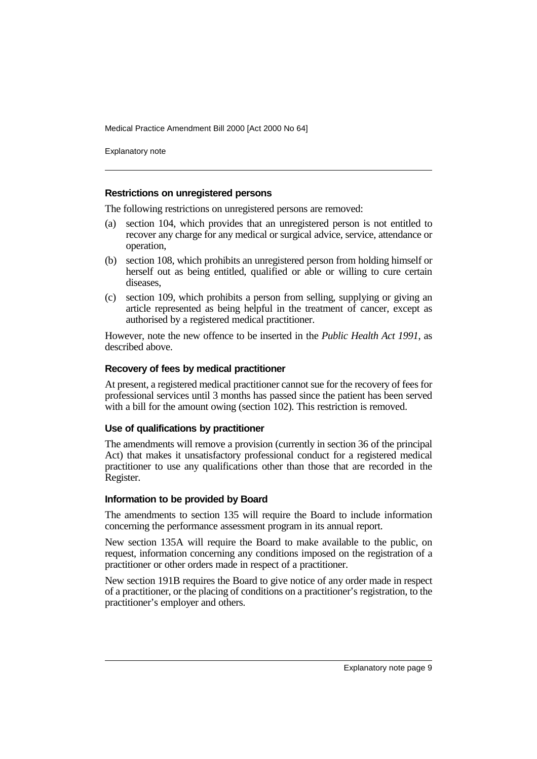Explanatory note

#### **Restrictions on unregistered persons**

The following restrictions on unregistered persons are removed:

- (a) section 104, which provides that an unregistered person is not entitled to recover any charge for any medical or surgical advice, service, attendance or operation,
- (b) section 108, which prohibits an unregistered person from holding himself or herself out as being entitled, qualified or able or willing to cure certain diseases,
- (c) section 109, which prohibits a person from selling, supplying or giving an article represented as being helpful in the treatment of cancer, except as authorised by a registered medical practitioner.

However, note the new offence to be inserted in the *Public Health Act 1991*, as described above.

#### **Recovery of fees by medical practitioner**

At present, a registered medical practitioner cannot sue for the recovery of fees for professional services until 3 months has passed since the patient has been served with a bill for the amount owing (section 102). This restriction is removed.

#### **Use of qualifications by practitioner**

The amendments will remove a provision (currently in section 36 of the principal Act) that makes it unsatisfactory professional conduct for a registered medical practitioner to use any qualifications other than those that are recorded in the Register.

#### **Information to be provided by Board**

The amendments to section 135 will require the Board to include information concerning the performance assessment program in its annual report.

New section 135A will require the Board to make available to the public, on request, information concerning any conditions imposed on the registration of a practitioner or other orders made in respect of a practitioner.

New section 191B requires the Board to give notice of any order made in respect of a practitioner, or the placing of conditions on a practitioner's registration, to the practitioner's employer and others.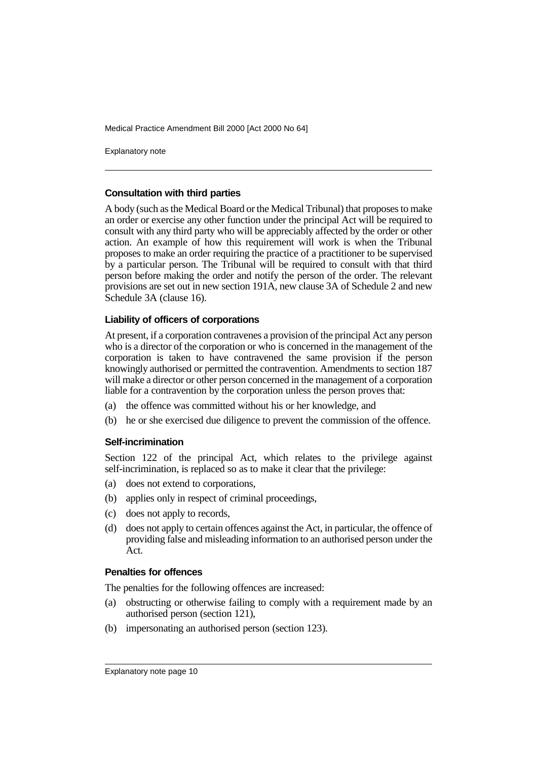Explanatory note

#### **Consultation with third parties**

A body (such as the Medical Board or the Medical Tribunal) that proposes to make an order or exercise any other function under the principal Act will be required to consult with any third party who will be appreciably affected by the order or other action. An example of how this requirement will work is when the Tribunal proposes to make an order requiring the practice of a practitioner to be supervised by a particular person. The Tribunal will be required to consult with that third person before making the order and notify the person of the order. The relevant provisions are set out in new section 191A, new clause 3A of Schedule 2 and new Schedule 3A (clause 16).

#### **Liability of officers of corporations**

At present, if a corporation contravenes a provision of the principal Act any person who is a director of the corporation or who is concerned in the management of the corporation is taken to have contravened the same provision if the person knowingly authorised or permitted the contravention. Amendments to section 187 will make a director or other person concerned in the management of a corporation liable for a contravention by the corporation unless the person proves that:

- (a) the offence was committed without his or her knowledge, and
- (b) he or she exercised due diligence to prevent the commission of the offence.

#### **Self-incrimination**

Section 122 of the principal Act, which relates to the privilege against self-incrimination, is replaced so as to make it clear that the privilege:

- (a) does not extend to corporations,
- (b) applies only in respect of criminal proceedings,
- (c) does not apply to records,
- (d) does not apply to certain offences against the Act, in particular, the offence of providing false and misleading information to an authorised person under the Act.

#### **Penalties for offences**

The penalties for the following offences are increased:

- (a) obstructing or otherwise failing to comply with a requirement made by an authorised person (section 121),
- (b) impersonating an authorised person (section 123).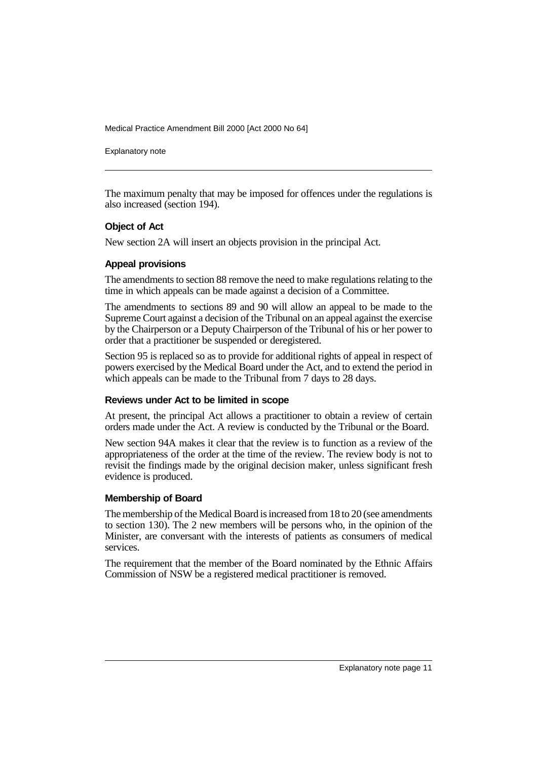Explanatory note

The maximum penalty that may be imposed for offences under the regulations is also increased (section 194).

#### **Object of Act**

New section 2A will insert an objects provision in the principal Act.

#### **Appeal provisions**

The amendments to section 88 remove the need to make regulations relating to the time in which appeals can be made against a decision of a Committee.

The amendments to sections 89 and 90 will allow an appeal to be made to the Supreme Court against a decision of the Tribunal on an appeal against the exercise by the Chairperson or a Deputy Chairperson of the Tribunal of his or her power to order that a practitioner be suspended or deregistered.

Section 95 is replaced so as to provide for additional rights of appeal in respect of powers exercised by the Medical Board under the Act, and to extend the period in which appeals can be made to the Tribunal from 7 days to 28 days.

#### **Reviews under Act to be limited in scope**

At present, the principal Act allows a practitioner to obtain a review of certain orders made under the Act. A review is conducted by the Tribunal or the Board.

New section 94A makes it clear that the review is to function as a review of the appropriateness of the order at the time of the review. The review body is not to revisit the findings made by the original decision maker, unless significant fresh evidence is produced.

#### **Membership of Board**

The membership of the Medical Board is increased from 18 to 20 (see amendments to section 130). The 2 new members will be persons who, in the opinion of the Minister, are conversant with the interests of patients as consumers of medical services.

The requirement that the member of the Board nominated by the Ethnic Affairs Commission of NSW be a registered medical practitioner is removed.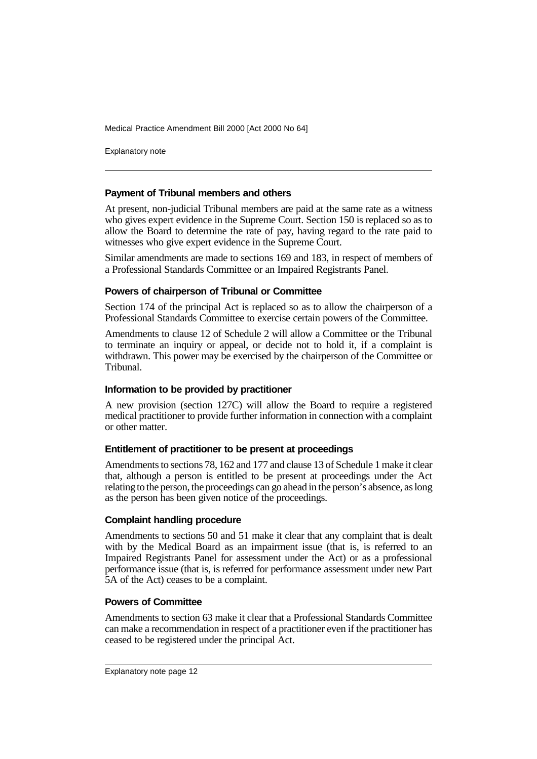Explanatory note

#### **Payment of Tribunal members and others**

At present, non-judicial Tribunal members are paid at the same rate as a witness who gives expert evidence in the Supreme Court. Section 150 is replaced so as to allow the Board to determine the rate of pay, having regard to the rate paid to witnesses who give expert evidence in the Supreme Court.

Similar amendments are made to sections 169 and 183, in respect of members of a Professional Standards Committee or an Impaired Registrants Panel.

#### **Powers of chairperson of Tribunal or Committee**

Section 174 of the principal Act is replaced so as to allow the chairperson of a Professional Standards Committee to exercise certain powers of the Committee.

Amendments to clause 12 of Schedule 2 will allow a Committee or the Tribunal to terminate an inquiry or appeal, or decide not to hold it, if a complaint is withdrawn. This power may be exercised by the chairperson of the Committee or Tribunal.

#### **Information to be provided by practitioner**

A new provision (section 127C) will allow the Board to require a registered medical practitioner to provide further information in connection with a complaint or other matter.

#### **Entitlement of practitioner to be present at proceedings**

Amendments to sections 78, 162 and 177 and clause 13 of Schedule 1 make it clear that, although a person is entitled to be present at proceedings under the Act relating to the person, the proceedings can go ahead in the person's absence, as long as the person has been given notice of the proceedings.

#### **Complaint handling procedure**

Amendments to sections 50 and 51 make it clear that any complaint that is dealt with by the Medical Board as an impairment issue (that is, is referred to an Impaired Registrants Panel for assessment under the Act) or as a professional performance issue (that is, is referred for performance assessment under new Part 5A of the Act) ceases to be a complaint.

#### **Powers of Committee**

Amendments to section 63 make it clear that a Professional Standards Committee can make a recommendation in respect of a practitioner even if the practitioner has ceased to be registered under the principal Act.